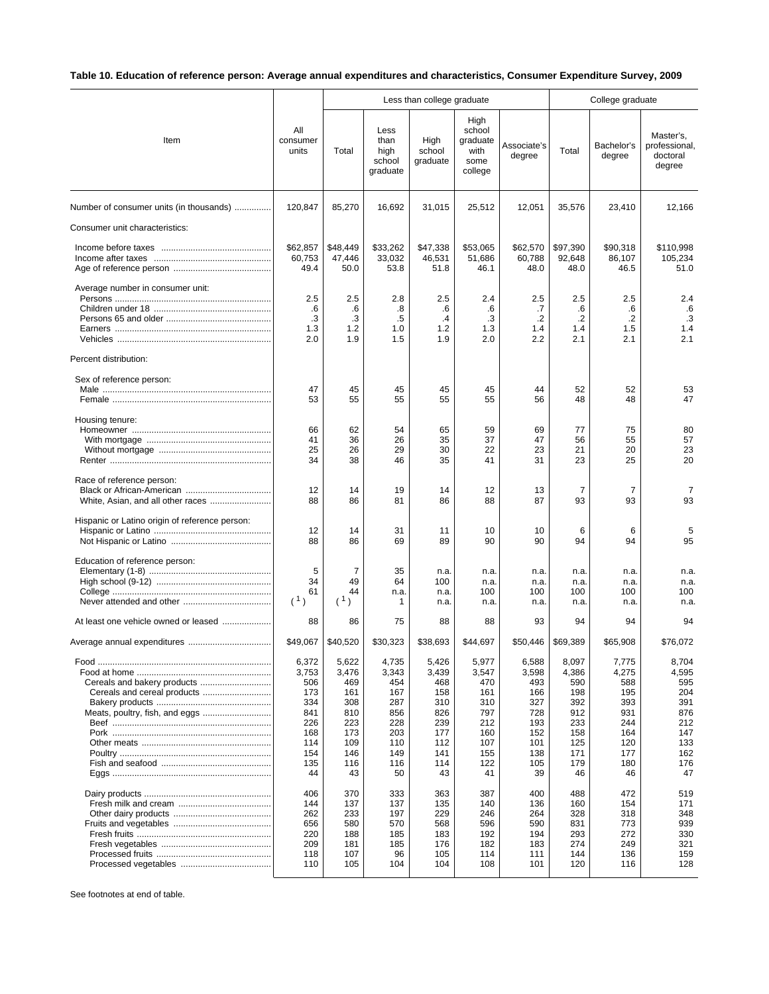## **Table 10. Education of reference person: Average annual expenditures and characteristics, Consumer Expenditure Survey, 2009**

|                                                |                                                                                     |                                                                                     |                                                                                     | Less than college graduate                                                          | College graduate                                                                    |                                                                                     |                                                                                     |                                                                                     |                                                                                     |
|------------------------------------------------|-------------------------------------------------------------------------------------|-------------------------------------------------------------------------------------|-------------------------------------------------------------------------------------|-------------------------------------------------------------------------------------|-------------------------------------------------------------------------------------|-------------------------------------------------------------------------------------|-------------------------------------------------------------------------------------|-------------------------------------------------------------------------------------|-------------------------------------------------------------------------------------|
| Item                                           | All<br>consumer<br>units                                                            | Total                                                                               | Less<br>than<br>high<br>school<br>graduate                                          | High<br>school<br>graduate                                                          | High<br>school<br>graduate<br>with<br>some<br>college                               | Associate's<br>degree                                                               | Total                                                                               | Bachelor's<br>degree                                                                | Master's,<br>professional,<br>doctoral<br>degree                                    |
| Number of consumer units (in thousands)        | 120,847                                                                             | 85,270                                                                              | 16,692                                                                              | 31,015                                                                              | 25,512                                                                              | 12,051                                                                              | 35,576                                                                              | 23,410                                                                              | 12,166                                                                              |
| Consumer unit characteristics:                 |                                                                                     |                                                                                     |                                                                                     |                                                                                     |                                                                                     |                                                                                     |                                                                                     |                                                                                     |                                                                                     |
|                                                | \$62,857<br>60,753<br>49.4                                                          | \$48,449<br>47,446<br>50.0                                                          | \$33,262<br>33,032<br>53.8                                                          | \$47,338<br>46,531<br>51.8                                                          | \$53,065<br>51,686<br>46.1                                                          | \$62,570<br>60,788<br>48.0                                                          | \$97,390<br>92,648<br>48.0                                                          | \$90,318<br>86,107<br>46.5                                                          | \$110,998<br>105,234<br>51.0                                                        |
| Average number in consumer unit:               | 2.5<br>.6<br>.3<br>1.3<br>2.0                                                       | 2.5<br>.6<br>.3<br>1.2<br>1.9                                                       | 2.8<br>.8<br>.5<br>1.0<br>1.5                                                       | 2.5<br>.6<br>$\cdot$<br>1.2<br>1.9                                                  | 2.4<br>.6<br>.3<br>1.3<br>2.0                                                       | 2.5<br>.7<br>$\cdot$ .2<br>1.4<br>2.2                                               | 2.5<br>.6<br>$\cdot$<br>1.4<br>2.1                                                  | 2.5<br>.6<br>.2<br>1.5<br>2.1                                                       | 2.4<br>.6<br>.3<br>1.4<br>2.1                                                       |
| Percent distribution:                          |                                                                                     |                                                                                     |                                                                                     |                                                                                     |                                                                                     |                                                                                     |                                                                                     |                                                                                     |                                                                                     |
| Sex of reference person:                       | 47<br>53                                                                            | 45<br>55                                                                            | 45<br>55                                                                            | 45<br>55                                                                            | 45<br>55                                                                            | 44<br>56                                                                            | 52<br>48                                                                            | 52<br>48                                                                            | 53<br>47                                                                            |
| Housing tenure:                                | 66<br>41<br>25<br>34                                                                | 62<br>36<br>26<br>38                                                                | 54<br>26<br>29<br>46                                                                | 65<br>35<br>30<br>35                                                                | 59<br>37<br>22<br>41                                                                | 69<br>47<br>23<br>31                                                                | 77<br>56<br>21<br>23                                                                | 75<br>55<br>20<br>25                                                                | 80<br>57<br>23<br>20                                                                |
| Race of reference person:                      | 12<br>88                                                                            | 14<br>86                                                                            | 19<br>81                                                                            | 14<br>86                                                                            | 12<br>88                                                                            | 13<br>87                                                                            | 7<br>93                                                                             | 7<br>93                                                                             | 7<br>93                                                                             |
| Hispanic or Latino origin of reference person: | 12<br>88                                                                            | 14<br>86                                                                            | 31<br>69                                                                            | 11<br>89                                                                            | 10<br>90                                                                            | 10<br>90                                                                            | 6<br>94                                                                             | 6<br>94                                                                             | 5<br>95                                                                             |
| Education of reference person:                 | 5<br>34<br>61<br>(1)                                                                | 7<br>49<br>44<br>(1)                                                                | 35<br>64<br>n.a.<br>1                                                               | n.a.<br>100<br>n.a.<br>n.a.                                                         | n.a.<br>n.a.<br>100<br>n.a.                                                         | n.a.<br>n.a.<br>100<br>n.a.                                                         | n.a.<br>n.a.<br>100<br>n.a.                                                         | n.a.<br>n.a.<br>100<br>n.a.                                                         | n.a.<br>n.a.<br>100<br>n.a.                                                         |
| At least one vehicle owned or leased           | 88                                                                                  | 86                                                                                  | 75                                                                                  | 88                                                                                  | 88                                                                                  | 93                                                                                  | 94                                                                                  | 94                                                                                  | 94                                                                                  |
|                                                | \$49,067                                                                            | \$40.520                                                                            | \$30.323                                                                            | \$38,693                                                                            | \$44,697                                                                            | \$50,446                                                                            | \$69,389                                                                            | \$65,908                                                                            | \$76,072                                                                            |
|                                                | 6,372<br>3,753<br>506<br>173<br>334<br>841<br>226<br>168<br>114<br>154<br>135<br>44 | 5,622<br>3,476<br>469<br>161<br>308<br>810<br>223<br>173<br>109<br>146<br>116<br>43 | 4,735<br>3,343<br>454<br>167<br>287<br>856<br>228<br>203<br>110<br>149<br>116<br>50 | 5,426<br>3,439<br>468<br>158<br>310<br>826<br>239<br>177<br>112<br>141<br>114<br>43 | 5,977<br>3,547<br>470<br>161<br>310<br>797<br>212<br>160<br>107<br>155<br>122<br>41 | 6,588<br>3,598<br>493<br>166<br>327<br>728<br>193<br>152<br>101<br>138<br>105<br>39 | 8,097<br>4,386<br>590<br>198<br>392<br>912<br>233<br>158<br>125<br>171<br>179<br>46 | 7,775<br>4,275<br>588<br>195<br>393<br>931<br>244<br>164<br>120<br>177<br>180<br>46 | 8,704<br>4,595<br>595<br>204<br>391<br>876<br>212<br>147<br>133<br>162<br>176<br>47 |
|                                                | 406<br>144<br>262<br>656<br>220<br>209<br>118<br>110                                | 370<br>137<br>233<br>580<br>188<br>181<br>107<br>105                                | 333<br>137<br>197<br>570<br>185<br>185<br>96<br>104                                 | 363<br>135<br>229<br>568<br>183<br>176<br>105<br>104                                | 387<br>140<br>246<br>596<br>192<br>182<br>114<br>108                                | 400<br>136<br>264<br>590<br>194<br>183<br>111<br>101                                | 488<br>160<br>328<br>831<br>293<br>274<br>144<br>120                                | 472<br>154<br>318<br>773<br>272<br>249<br>136<br>116                                | 519<br>171<br>348<br>939<br>330<br>321<br>159<br>128                                |

See footnotes at end of table.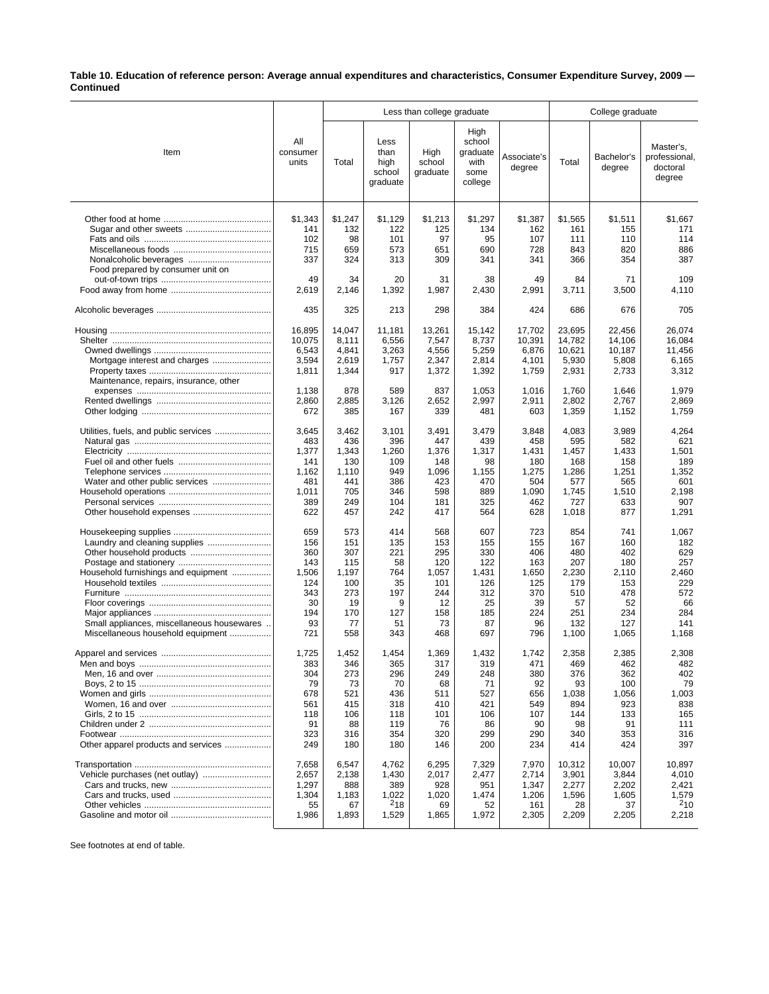**Table 10. Education of reference person: Average annual expenditures and characteristics, Consumer Expenditure Survey, 2009 — Continued**

|                                            |                          | Less than college graduate |                                            |                            |                                                       |                       | College graduate |                      |                                                  |  |
|--------------------------------------------|--------------------------|----------------------------|--------------------------------------------|----------------------------|-------------------------------------------------------|-----------------------|------------------|----------------------|--------------------------------------------------|--|
| Item                                       | All<br>consumer<br>units | Total                      | Less<br>than<br>high<br>school<br>graduate | High<br>school<br>graduate | High<br>school<br>graduate<br>with<br>some<br>college | Associate's<br>degree | Total            | Bachelor's<br>degree | Master's.<br>professional,<br>doctoral<br>degree |  |
|                                            | \$1,343                  | \$1,247                    | \$1,129                                    | \$1,213                    | \$1,297                                               | \$1,387               | \$1,565          | \$1,511              | \$1,667                                          |  |
|                                            | 141                      | 132                        | 122                                        | 125                        | 134                                                   | 162                   | 161              | 155                  | 171                                              |  |
|                                            | 102                      | 98                         | 101                                        | 97                         | 95                                                    | 107                   | 111              | 110                  | 114                                              |  |
|                                            | 715                      | 659                        | 573                                        | 651                        | 690                                                   | 728                   | 843              | 820                  | 886                                              |  |
|                                            | 337                      | 324                        | 313                                        | 309                        | 341                                                   | 341                   | 366              | 354                  | 387                                              |  |
| Food prepared by consumer unit on          |                          |                            |                                            |                            |                                                       |                       |                  |                      |                                                  |  |
|                                            | 49                       | 34                         | 20                                         | 31                         | 38                                                    | 49                    | 84               | 71                   | 109                                              |  |
|                                            | 2,619                    | 2,146                      | 1,392                                      | 1,987                      | 2,430                                                 | 2,991                 | 3,711            | 3,500                | 4,110                                            |  |
|                                            | 435                      | 325                        | 213                                        | 298                        | 384                                                   | 424                   | 686              | 676                  | 705                                              |  |
|                                            | 16,895                   | 14,047                     | 11,181                                     | 13,261                     | 15,142                                                | 17,702                | 23,695           | 22,456               | 26,074                                           |  |
|                                            | 10,075                   | 8,111                      | 6,556                                      | 7,547                      | 8,737                                                 | 10,391                | 14,782           | 14,106               | 16,084                                           |  |
|                                            | 6,543                    | 4,841                      | 3,263                                      | 4,556                      | 5,259                                                 | 6,876                 | 10,621           | 10,187               | 11,456                                           |  |
| Mortgage interest and charges              | 3,594                    | 2,619                      | 1,757                                      | 2,347                      | 2,814                                                 | 4,101                 | 5,930            | 5,808                | 6,165                                            |  |
|                                            | 1,811                    | 1,344                      | 917                                        | 1,372                      | 1,392                                                 | 1,759                 | 2,931            | 2,733                | 3,312                                            |  |
| Maintenance, repairs, insurance, other     | 1,138                    | 878                        | 589                                        | 837                        | 1,053                                                 | 1,016                 | 1,760            | 1,646                | 1,979                                            |  |
|                                            | 2,860                    | 2,885                      | 3,126                                      | 2,652                      | 2,997                                                 | 2,911                 | 2,802            | 2,767                | 2,869                                            |  |
|                                            | 672                      | 385                        | 167                                        | 339                        | 481                                                   | 603                   | 1,359            | 1,152                | 1,759                                            |  |
|                                            |                          |                            |                                            |                            |                                                       |                       |                  |                      |                                                  |  |
| Utilities, fuels, and public services      | 3,645                    | 3,462                      | 3,101                                      | 3,491                      | 3,479                                                 | 3,848                 | 4,083            | 3,989                | 4,264                                            |  |
|                                            | 483<br>1,377             | 436<br>1,343               | 396<br>1,260                               | 447<br>1,376               | 439<br>1,317                                          | 458<br>1,431          | 595<br>1,457     | 582<br>1,433         | 621<br>1,501                                     |  |
|                                            | 141                      | 130                        | 109                                        | 148                        | 98                                                    | 180                   | 168              | 158                  | 189                                              |  |
|                                            | 1,162                    | 1,110                      | 949                                        | 1,096                      | 1,155                                                 | 1,275                 | 1,286            | 1,251                | 1,352                                            |  |
|                                            | 481                      | 441                        | 386                                        | 423                        | 470                                                   | 504                   | 577              | 565                  | 601                                              |  |
|                                            | 1,011                    | 705                        | 346                                        | 598                        | 889                                                   | 1,090                 | 1,745            | 1,510                | 2,198                                            |  |
|                                            | 389                      | 249                        | 104                                        | 181                        | 325                                                   | 462                   | 727              | 633                  | 907                                              |  |
|                                            | 622                      | 457                        | 242                                        | 417                        | 564                                                   | 628                   | 1,018            | 877                  | 1,291                                            |  |
|                                            | 659                      | 573                        | 414                                        | 568                        | 607                                                   | 723                   | 854              | 741                  | 1,067                                            |  |
|                                            | 156                      | 151                        | 135                                        | 153                        | 155                                                   | 155                   | 167              | 160                  | 182                                              |  |
|                                            | 360                      | 307                        | 221                                        | 295                        | 330                                                   | 406                   | 480              | 402                  | 629                                              |  |
|                                            | 143                      | 115                        | 58                                         | 120                        | 122                                                   | 163                   | 207              | 180                  | 257                                              |  |
| Household furnishings and equipment        | 1,506                    | 1,197                      | 764                                        | 1,057                      | 1,431                                                 | 1,650                 | 2,230            | 2,110                | 2,460                                            |  |
|                                            | 124                      | 100                        | 35                                         | 101                        | 126                                                   | 125                   | 179              | 153                  | 229                                              |  |
|                                            | 343<br>30                | 273<br>19                  | 197<br>9                                   | 244<br>12                  | 312<br>25                                             | 370<br>39             | 510<br>57        | 478<br>52            | 572<br>66                                        |  |
|                                            | 194                      | 170                        | 127                                        | 158                        | 185                                                   | 224                   | 251              | 234                  | 284                                              |  |
| Small appliances, miscellaneous housewares | 93                       | 77                         | 51                                         | 73                         | 87                                                    | 96                    | 132              | 127                  | 141                                              |  |
| Miscellaneous household equipment          | 721                      | 558                        | 343                                        | 468                        | 697                                                   | 796                   | 1,100            | 1,065                | 1,168                                            |  |
|                                            | 1,725                    | 1,452                      | 1,454                                      | 1,369                      | 1,432                                                 | 1,742                 | 2,358            | 2,385                | 2,308                                            |  |
|                                            | 383                      | 346                        | 365                                        | 317                        | 319                                                   | 471                   | 469              | 462                  | 482                                              |  |
|                                            | 304                      | 273                        | 296                                        | 249                        | 248                                                   | 380                   | 376              | 362                  | 402                                              |  |
|                                            | 79                       | 73                         | 70                                         | 68                         | 71                                                    | 92                    | 93               | 100                  | 79                                               |  |
|                                            | 678                      | 521                        | 436                                        | 511                        | 527                                                   | 656                   | 1,038            | 1,056                | 1,003                                            |  |
|                                            | 561<br>118               | 415<br>106                 | 318<br>118                                 | 410<br>101                 | 421<br>106                                            | 549<br>107            | 894<br>144       | 923<br>133           | 838<br>165                                       |  |
|                                            | 91                       | 88                         | 119                                        | 76                         | 86                                                    | 90                    | 98               | 91                   | 111                                              |  |
|                                            | 323                      | 316                        | 354                                        | 320                        | 299                                                   | 290                   | 340              | 353                  | 316                                              |  |
| Other apparel products and services        | 249                      | 180                        | 180                                        | 146                        | 200                                                   | 234                   | 414              | 424                  | 397                                              |  |
|                                            | 7,658                    | 6,547                      | 4,762                                      | 6,295                      | 7,329                                                 | 7,970                 | 10,312           | 10,007               | 10,897                                           |  |
|                                            | 2,657                    | 2,138                      | 1,430                                      | 2,017                      | 2,477                                                 | 2,714                 | 3,901            | 3,844                | 4,010                                            |  |
|                                            | 1,297                    | 888                        | 389                                        | 928                        | 951                                                   | 1,347                 | 2,277            | 2,202                | 2,421                                            |  |
|                                            | 1,304                    | 1,183                      | 1,022                                      | 1,020                      | 1,474                                                 | 1,206                 | 1,596            | 1,605                | 1,579                                            |  |
|                                            | 55                       | 67                         | $^{2}18$                                   | 69                         | 52                                                    | 161                   | 28               | 37                   | $^{2}10$                                         |  |
|                                            | 1,986                    | 1,893                      | 1,529                                      | 1,865                      | 1,972                                                 | 2,305                 | 2,209            | 2,205                | 2,218                                            |  |

See footnotes at end of table.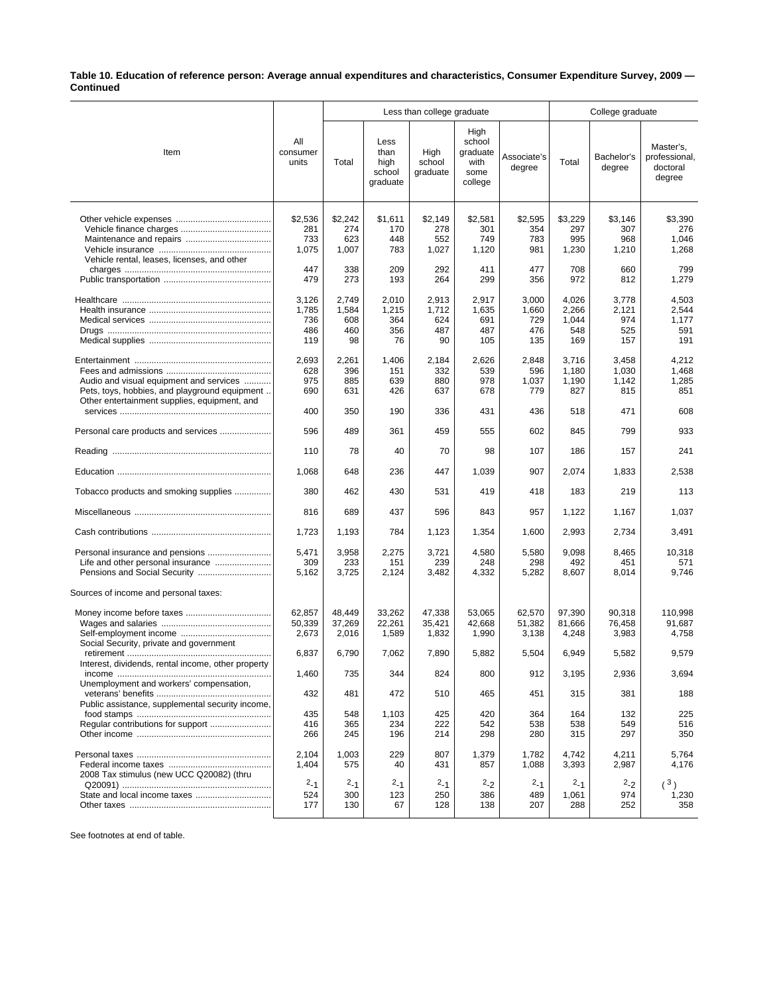## **Table 10. Education of reference person: Average annual expenditures and characteristics, Consumer Expenditure Survey, 2009 — Continued**

|                                                    |                          |         |                                            | Less than college graduate | College graduate                                      |                       |                |                      |                                                  |
|----------------------------------------------------|--------------------------|---------|--------------------------------------------|----------------------------|-------------------------------------------------------|-----------------------|----------------|----------------------|--------------------------------------------------|
| Item                                               | All<br>consumer<br>units | Total   | Less<br>than<br>high<br>school<br>graduate | High<br>school<br>graduate | High<br>school<br>graduate<br>with<br>some<br>college | Associate's<br>degree | Total          | Bachelor's<br>degree | Master's,<br>professional,<br>doctoral<br>degree |
|                                                    | \$2,536                  | \$2,242 | \$1,611                                    | \$2,149                    | \$2,581                                               | \$2,595               | \$3,229        | \$3,146              | \$3,390                                          |
|                                                    | 281                      | 274     | 170                                        | 278                        | 301                                                   | 354                   | 297            | 307                  | 276                                              |
|                                                    | 733                      | 623     | 448                                        | 552                        | 749                                                   | 783                   | 995            | 968                  | 1,046                                            |
|                                                    | 1,075                    | 1,007   | 783                                        | 1,027                      | 1,120                                                 | 981                   | 1,230          | 1,210                | 1,268                                            |
| Vehicle rental, leases, licenses, and other        |                          |         |                                            |                            |                                                       |                       |                |                      |                                                  |
|                                                    | 447                      | 338     | 209                                        | 292                        | 411                                                   | 477                   | 708            | 660                  | 799                                              |
|                                                    | 479                      | 273     | 193                                        | 264                        | 299                                                   | 356                   | 972            | 812                  | 1,279                                            |
|                                                    |                          | 2,749   |                                            | 2,913                      |                                                       |                       |                |                      |                                                  |
|                                                    | 3,126<br>1,785           | 1,584   | 2,010<br>1,215                             | 1,712                      | 2,917<br>1,635                                        | 3,000<br>1,660        | 4,026<br>2,266 | 3,778<br>2,121       | 4,503<br>2,544                                   |
|                                                    | 736                      | 608     | 364                                        | 624                        | 691                                                   | 729                   | 1,044          | 974                  | 1,177                                            |
|                                                    | 486                      | 460     | 356                                        | 487                        | 487                                                   | 476                   | 548            | 525                  | 591                                              |
|                                                    |                          |         |                                            |                            |                                                       |                       |                |                      |                                                  |
|                                                    | 119                      | 98      | 76                                         | 90                         | 105                                                   | 135                   | 169            | 157                  | 191                                              |
|                                                    | 2,693                    | 2,261   | 1,406                                      | 2,184                      | 2,626                                                 | 2,848                 | 3,716          | 3,458                | 4,212                                            |
|                                                    | 628                      | 396     | 151                                        | 332                        | 539                                                   | 596                   | 1,180          | 1,030                | 1,468                                            |
| Audio and visual equipment and services            | 975                      | 885     | 639                                        | 880                        | 978                                                   | 1,037                 | 1,190          | 1,142                | 1,285                                            |
| Pets, toys, hobbies, and playground equipment      | 690                      | 631     | 426                                        | 637                        | 678                                                   | 779                   | 827            | 815                  | 851                                              |
| Other entertainment supplies, equipment, and       |                          |         |                                            |                            |                                                       |                       |                |                      |                                                  |
|                                                    | 400                      | 350     | 190                                        | 336                        | 431                                                   | 436                   | 518            | 471                  | 608                                              |
| Personal care products and services                | 596                      | 489     | 361                                        | 459                        | 555                                                   | 602                   | 845            | 799                  | 933                                              |
|                                                    | 110                      | 78      | 40                                         | 70                         | 98                                                    | 107                   | 186            | 157                  | 241                                              |
|                                                    | 1,068                    | 648     | 236                                        | 447                        | 1,039                                                 | 907                   | 2,074          | 1,833                | 2,538                                            |
|                                                    |                          |         |                                            |                            |                                                       |                       |                |                      |                                                  |
| Tobacco products and smoking supplies              | 380                      | 462     | 430                                        | 531                        | 419                                                   | 418                   | 183            | 219                  | 113                                              |
|                                                    | 816                      | 689     | 437                                        | 596                        | 843                                                   | 957                   | 1,122          | 1,167                | 1,037                                            |
|                                                    | 1,723                    | 1,193   | 784                                        | 1,123                      | 1,354                                                 | 1,600                 | 2,993          | 2,734                | 3,491                                            |
| Personal insurance and pensions                    | 5,471                    | 3,958   | 2,275                                      | 3,721                      | 4,580                                                 | 5,580                 | 9,098          | 8,465                | 10,318                                           |
| Life and other personal insurance                  | 309                      | 233     | 151                                        | 239                        | 248                                                   | 298                   | 492            | 451                  | 571                                              |
|                                                    | 5,162                    | 3,725   | 2,124                                      | 3,482                      | 4,332                                                 | 5,282                 | 8,607          | 8,014                | 9,746                                            |
|                                                    |                          |         |                                            |                            |                                                       |                       |                |                      |                                                  |
| Sources of income and personal taxes:              |                          |         |                                            |                            |                                                       |                       |                |                      |                                                  |
|                                                    | 62,857                   | 48,449  | 33,262                                     | 47,338                     | 53,065                                                | 62,570                | 97,390         | 90,318               | 110,998                                          |
|                                                    | 50,339                   | 37,269  | 22,261                                     | 35,421                     | 42,668                                                | 51,382                | 81,666         | 76,458               | 91,687                                           |
|                                                    | 2,673                    | 2,016   | 1,589                                      | 1,832                      | 1,990                                                 | 3,138                 | 4,248          | 3,983                | 4,758                                            |
| Social Security, private and government            |                          |         |                                            |                            |                                                       |                       |                |                      |                                                  |
|                                                    | 6,837                    | 6,790   | 7,062                                      | 7,890                      | 5,882                                                 | 5,504                 | 6,949          | 5,582                | 9,579                                            |
| Interest, dividends, rental income, other property |                          |         |                                            |                            |                                                       |                       |                |                      |                                                  |
|                                                    | 1,460                    | 735     | 344                                        | 824                        | 800                                                   | 912                   | 3,195          | 2,936                | 3,694                                            |
|                                                    |                          |         |                                            |                            |                                                       |                       |                |                      |                                                  |
| Unemployment and workers' compensation,            | 432                      | 481     | 472                                        | 510                        | 465                                                   | 451                   | 315            | 381                  | 188                                              |
| Public assistance, supplemental security income,   |                          |         |                                            |                            |                                                       |                       |                |                      |                                                  |
|                                                    | 435                      | 548     | 1,103                                      | 425                        | 420                                                   | 364                   | 164            | 132                  | 225                                              |
|                                                    | 416                      | 365     | 234                                        | 222                        | 542                                                   | 538                   | 538            | 549                  | 516                                              |
|                                                    | 266                      | 245     | 196                                        | 214                        | 298                                                   | 280                   | 315            | 297                  | 350                                              |
|                                                    |                          |         |                                            |                            |                                                       |                       |                |                      |                                                  |
|                                                    | 2,104                    | 1,003   | 229                                        | 807                        | 1,379                                                 | 1,782                 | 4,742          | 4,211                | 5,764                                            |
|                                                    | 1,404                    | 575     | 40                                         | 431                        | 857                                                   | 1,088                 | 3,393          | 2,987                | 4,176                                            |
| 2008 Tax stimulus (new UCC Q20082) (thru           |                          |         |                                            |                            |                                                       |                       |                |                      |                                                  |
|                                                    | $2 - 1$                  | $2 - 1$ | $2 - 1$                                    | $2 - 1$                    | $2 - 2$                                               | $2 - 1$               | $2 - 1$        | $2 - 2$              | (3)                                              |
| State and local income taxes                       | 524                      | 300     | 123                                        | 250                        | 386                                                   | 489                   | 1,061          | 974                  | 1,230                                            |
|                                                    | 177                      | 130     | 67                                         | 128                        | 138                                                   | 207                   | 288            | 252                  | 358                                              |

See footnotes at end of table.